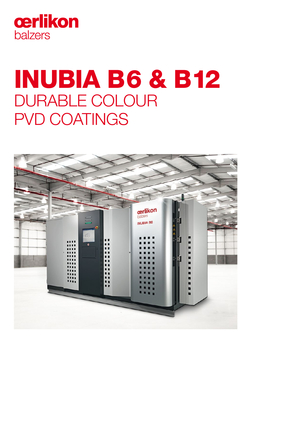

# INUBIA B6 & B12 DURABLE COLOUR PVD COATINGS

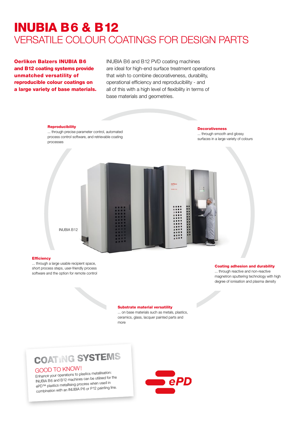## INUBIA B6 & B12 VERSATILE COLOUR COATINGS FOR DESIGN PARTS

Oerlikon Balzers INUBIA B6 and B12 coating systems provide unmatched versatility of reproducible colour coatings on a large variety of base materials.

INUBIA B6 and B12 PVD coating machines are ideal for high-end surface treatment operations that wish to combine decorativeness, durability, operational efficiency and reproducibility - and all of this with a high level of flexibility in terms of base materials and geometries.

#### **Reproducibility**

... through precise parameter control, automated process control software, and retrievable coating processes

**Decorativeness** ... through smooth and glossy surfaces in a large variety of colours



#### **Efficiency**

... through a large usable recipient space, short process steps, user-friendly process software and the option for remote control

#### Coating adhesion and durability

... through reactive and non-reactive magnetron sputtering technology with high degree of ionisation and plasma density

#### Substrate material versatility

... on base materials such as metals, plastics, ceramics, glass, lacquer painted parts and more

### **COATING SYSTEMS**

### GOOD TO KNOW!

Enhance your operations to plastics metallisation: INUBIA B6 and B12 machines can be utilised for the ePD™ plastics metallising process when used in combination with an INUBIA P6 or P12 painting line.

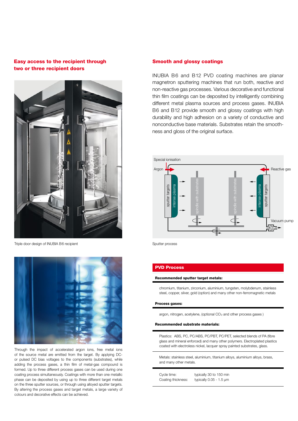#### Easy access to the recipient through two or three recipient doors



Triple door design of INUBIA B6 recipient



Through the impact of accelerated argon ions, free metal ions of the source metal are emitted from the target. By applying DCor pulsed DC bias voltages to the components (substrates), while adding the process gases, a thin film of metal-gas compound is formed. Up to three different process gases can be used during one coating process simultaneously. Coatings with more than one metallic phase can be deposited by using up to three different target metals on the three sputter sources, or through using alloyed sputter targets. By altering the process gases and target metals, a large variety of colours and decorative effects can be achieved.

#### Smooth and glossy coatings

INUBIA B6 and B12 PVD coating machines are planar magnetron sputtering machines that run both, reactive and non-reactive gas processes. Various decorative and functional thin film coatings can be deposited by intelligently combining different metal plasma sources and process gases. INUBIA B6 and B12 provide smooth and glossy coatings with high durability and high adhesion on a variety of conductive and nonconductive base materials. Substrates retain the smoothness and gloss of the original surface.



Sputter process

#### PVD Process

#### Recommended sputter target metals:

chromium, titanium, zirconium, aluminium, tungsten, molybdenum, stainless steel, copper, silver, gold (option) and many other non-ferromagnetic metals

#### Process gases:

argon, nitrogen, acetylene, (optional CO<sub>2</sub> and other process gases)

#### Recommended substrate materials:

Plastics: ABS, PC, PC/ABS, PC/PBT, PC/PET, selected blends of PA (fibre glass and mineral enforced) and many other polymers. Electroplated plastics coated with electroless nickel, lacquer spray painted substrates, glass.

Metals: stainless steel, aluminium, titanium alloys, aluminium alloys, brass, and many other metals.

| Cycle time:        | typically 30 to 150 min      |
|--------------------|------------------------------|
| Coating thickness: | typically $0.05 - 1.5 \mu m$ |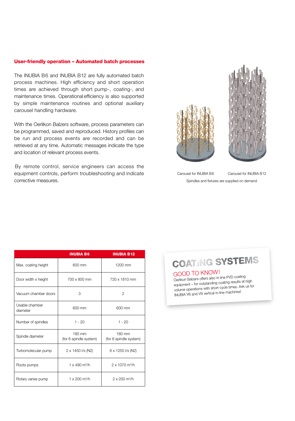#### User-friendly operation – Automated batch processes

The INUBIA B6 and INUBIA B12 are fully automated batch process machines. High efficiency and short operation times are achieved through short pump-, coating-, and maintenance times. Operational efficiency is also supported by simple maintenance routines and optional auxiliary carousel handling hardware.

With the Oerlikon Balzers software, process parameters can be programmed, saved and reproduced. History profiles can be run and process events are recorded and can be retrieved at any time. Automatic messages indicate the type and location of relevant process events.

By remote control, service engineers can access the equipment controls, perform troubleshooting and indicate corrective measures.





Carousel for INUBIA B6 Spindles and fixtures are supplied on demand Carousel for INUBIA B12

|                            | <b>INUBIA B6</b>                 | <b>INUBIA B12</b>                 |
|----------------------------|----------------------------------|-----------------------------------|
| Max. coating height        | 600 mm                           | 1200 mm                           |
| Door width x height        | 700 x 800 mm                     | 720 x 1810 mm                     |
| Vacuum chamber doors       | 3                                | $\overline{2}$                    |
| Usable chamber<br>diameter | 600 mm                           | 600 mm                            |
| Number of spindles         | $1 - 20$                         | $1 - 20$                          |
| Spindle diameter           | 180 mm<br>(for 6 spindle system) | 180 mm<br>(for 6 spindle system)  |
| Turbomolecular pump        | 2 x 1450 l/s (N2)                | 6 x 1250 l/s (N2)                 |
| Roots pumps                | $1 \times 490$ m <sup>3</sup> /h | $2 \times 1070$ m <sup>3</sup> /h |
| Rotary vanes pump          | 1 x 200 $m^3/h$                  | $2 \times 200$ m <sup>3</sup> /h  |

**COATING SYSTEMS** 

#### GOOD TO KNOW!

Oerlikon Balzers offers also in-line PVD coating equipment – for outstanding coating results at high volume operations with short cycle times. Ask us for INUBIA V6 and V9 vertical in-line machines!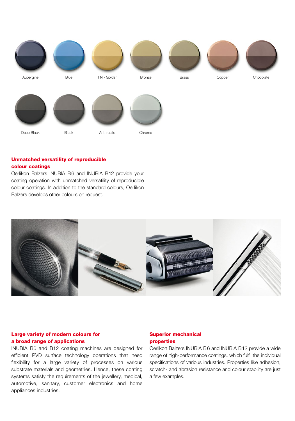

#### Unmatched versatility of reproducible colour coatings

Oerlikon Balzers INUBIA B6 and INUBIA B12 provide your coating operation with unmatched versatility of reproducible colour coatings. In addition to the standard colours, Oerlikon Balzers develops other colours on request.



#### Large variety of modern colours for a broad range of applications

INUBIA B6 and B12 coating machines are designed for efficient PVD surface technology operations that need flexibility for a large variety of processes on various substrate materials and geometries. Hence, these coating systems satisfy the requirements of the jewellery, medical, automotive, sanitary, customer electronics and home appliances industries.

#### Superior mechanical properties

Oerlikon Balzers INUBIA B6 and INUBIA B12 provide a wide range of high-performance coatings, which fulfil the individual specifications of various industries. Properties like adhesion, scratch- and abrasion resistance and colour stability are just a few examples.